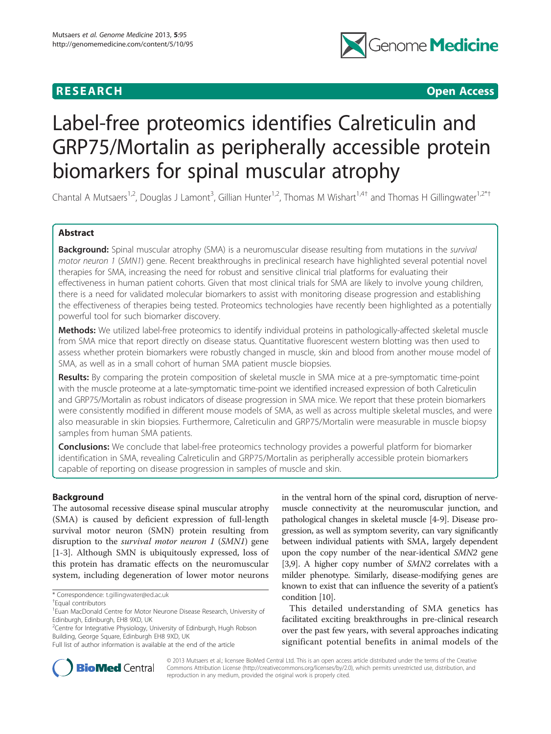## **RESEARCH CHILD CONTROL** CONTROL CONTROL CONTROL CONTROL CONTROL CONTROL CONTROL CONTROL CONTROL CONTROL CONTROL CONTROL CONTROL CONTROL CONTROL CONTROL CONTROL CONTROL CONTROL CONTROL CONTROL CONTROL CONTROL CONTROL CONTR



# Label-free proteomics identifies Calreticulin and GRP75/Mortalin as peripherally accessible protein biomarkers for spinal muscular atrophy

Chantal A Mutsaers<sup>1,2</sup>, Douglas J Lamont<sup>3</sup>, Gillian Hunter<sup>1,2</sup>, Thomas M Wishart<sup>1,4†</sup> and Thomas H Gillingwater<sup>1,2\*†</sup>

## Abstract

Background: Spinal muscular atrophy (SMA) is a neuromuscular disease resulting from mutations in the survival motor neuron 1 (SMN1) gene. Recent breakthroughs in preclinical research have highlighted several potential novel therapies for SMA, increasing the need for robust and sensitive clinical trial platforms for evaluating their effectiveness in human patient cohorts. Given that most clinical trials for SMA are likely to involve young children, there is a need for validated molecular biomarkers to assist with monitoring disease progression and establishing the effectiveness of therapies being tested. Proteomics technologies have recently been highlighted as a potentially powerful tool for such biomarker discovery.

Methods: We utilized label-free proteomics to identify individual proteins in pathologically-affected skeletal muscle from SMA mice that report directly on disease status. Quantitative fluorescent western blotting was then used to assess whether protein biomarkers were robustly changed in muscle, skin and blood from another mouse model of SMA, as well as in a small cohort of human SMA patient muscle biopsies.

Results: By comparing the protein composition of skeletal muscle in SMA mice at a pre-symptomatic time-point with the muscle proteome at a late-symptomatic time-point we identified increased expression of both Calreticulin and GRP75/Mortalin as robust indicators of disease progression in SMA mice. We report that these protein biomarkers were consistently modified in different mouse models of SMA, as well as across multiple skeletal muscles, and were also measurable in skin biopsies. Furthermore, Calreticulin and GRP75/Mortalin were measurable in muscle biopsy samples from human SMA patients.

**Conclusions:** We conclude that label-free proteomics technology provides a powerful platform for biomarker identification in SMA, revealing Calreticulin and GRP75/Mortalin as peripherally accessible protein biomarkers capable of reporting on disease progression in samples of muscle and skin.

## Background

The autosomal recessive disease spinal muscular atrophy (SMA) is caused by deficient expression of full-length survival motor neuron (SMN) protein resulting from disruption to the *survival motor neuron 1* (SMN1) gene [[1-3](#page-9-0)]. Although SMN is ubiquitously expressed, loss of this protein has dramatic effects on the neuromuscular system, including degeneration of lower motor neurons

in the ventral horn of the spinal cord, disruption of nervemuscle connectivity at the neuromuscular junction, and pathological changes in skeletal muscle [\[4](#page-9-0)-[9](#page-9-0)]. Disease progression, as well as symptom severity, can vary significantly between individual patients with SMA, largely dependent upon the copy number of the near-identical SMN2 gene [[3,9](#page-9-0)]. A higher copy number of SMN2 correlates with a milder phenotype. Similarly, disease-modifying genes are known to exist that can influence the severity of a patient's condition [\[10\]](#page-9-0).

This detailed understanding of SMA genetics has facilitated exciting breakthroughs in pre-clinical research over the past few years, with several approaches indicating significant potential benefits in animal models of the



© 2013 Mutsaers et al.; licensee BioMed Central Ltd. This is an open access article distributed under the terms of the Creative Commons Attribution License [\(http://creativecommons.org/licenses/by/2.0\)](http://creativecommons.org/licenses/by/2.0), which permits unrestricted use, distribution, and reproduction in any medium, provided the original work is properly cited.

<sup>\*</sup> Correspondence: [t.gillingwater@ed.ac.uk](mailto:t.gillingwater@ed.ac.uk) †

Equal contributors

<sup>&</sup>lt;sup>1</sup> Euan MacDonald Centre for Motor Neurone Disease Research, University of Edinburgh, Edinburgh, EH8 9XD, UK

<sup>&</sup>lt;sup>2</sup>Centre for Integrative Physiology, University of Edinburgh, Hugh Robson Building, George Square, Edinburgh EH8 9XD, UK

Full list of author information is available at the end of the article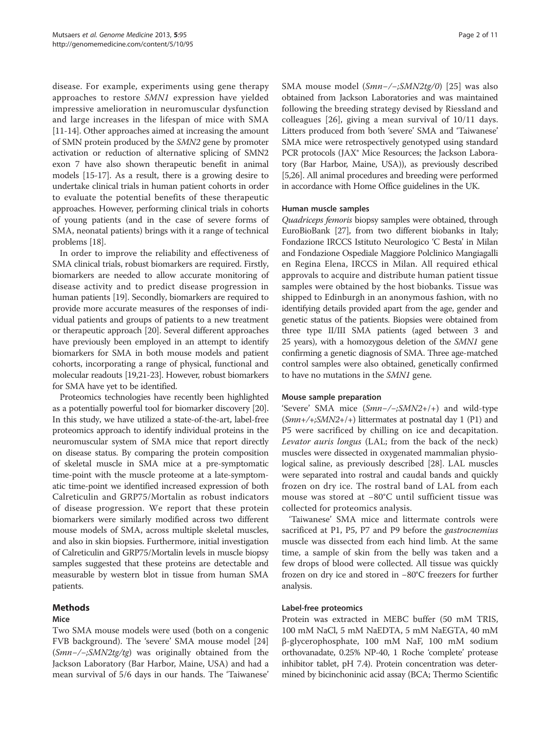<span id="page-1-0"></span>disease. For example, experiments using gene therapy approaches to restore SMN1 expression have yielded impressive amelioration in neuromuscular dysfunction and large increases in the lifespan of mice with SMA [[11](#page-9-0)-[14\]](#page-9-0). Other approaches aimed at increasing the amount of SMN protein produced by the SMN2 gene by promoter activation or reduction of alternative splicing of SMN2 exon 7 have also shown therapeutic benefit in animal models [\[15](#page-9-0)-[17](#page-9-0)]. As a result, there is a growing desire to undertake clinical trials in human patient cohorts in order to evaluate the potential benefits of these therapeutic approaches. However, performing clinical trials in cohorts of young patients (and in the case of severe forms of SMA, neonatal patients) brings with it a range of technical problems [[18](#page-9-0)].

In order to improve the reliability and effectiveness of SMA clinical trials, robust biomarkers are required. Firstly, biomarkers are needed to allow accurate monitoring of disease activity and to predict disease progression in human patients [\[19\]](#page-9-0). Secondly, biomarkers are required to provide more accurate measures of the responses of individual patients and groups of patients to a new treatment or therapeutic approach [\[20](#page-9-0)]. Several different approaches have previously been employed in an attempt to identify biomarkers for SMA in both mouse models and patient cohorts, incorporating a range of physical, functional and molecular readouts [\[19,21-23\]](#page-9-0). However, robust biomarkers for SMA have yet to be identified.

Proteomics technologies have recently been highlighted as a potentially powerful tool for biomarker discovery [[20](#page-9-0)]. In this study, we have utilized a state-of-the-art, label-free proteomics approach to identify individual proteins in the neuromuscular system of SMA mice that report directly on disease status. By comparing the protein composition of skeletal muscle in SMA mice at a pre-symptomatic time-point with the muscle proteome at a late-symptomatic time-point we identified increased expression of both Calreticulin and GRP75/Mortalin as robust indicators of disease progression. We report that these protein biomarkers were similarly modified across two different mouse models of SMA, across multiple skeletal muscles, and also in skin biopsies. Furthermore, initial investigation of Calreticulin and GRP75/Mortalin levels in muscle biopsy samples suggested that these proteins are detectable and measurable by western blot in tissue from human SMA patients.

## Methods

## Mice

Two SMA mouse models were used (both on a congenic FVB background). The 'severe' SMA mouse model [[24](#page-10-0)] (Smn−/−;SMN2tg/tg) was originally obtained from the Jackson Laboratory (Bar Harbor, Maine, USA) and had a mean survival of 5/6 days in our hands. The 'Taiwanese'

SMA mouse model (Smn−/−;SMN2tg/0) [[25\]](#page-10-0) was also obtained from Jackson Laboratories and was maintained following the breeding strategy devised by Riessland and colleagues [[26\]](#page-10-0), giving a mean survival of 10/11 days. Litters produced from both 'severe' SMA and 'Taiwanese' SMA mice were retrospectively genotyped using standard PCR protocols (JAX<sup>®</sup> Mice Resources; the Jackson Laboratory (Bar Harbor, Maine, USA)), as previously described [[5](#page-9-0)[,26](#page-10-0)]. All animal procedures and breeding were performed in accordance with Home Office guidelines in the UK.

## Human muscle samples

Quadriceps femoris biopsy samples were obtained, through EuroBioBank [\[27](#page-10-0)], from two different biobanks in Italy; Fondazione IRCCS Istituto Neurologico 'C Besta' in Milan and Fondazione Ospediale Maggiore Polclinico Mangiagalli en Regina Elena, IRCCS in Milan. All required ethical approvals to acquire and distribute human patient tissue samples were obtained by the host biobanks. Tissue was shipped to Edinburgh in an anonymous fashion, with no identifying details provided apart from the age, gender and genetic status of the patients. Biopsies were obtained from three type II/III SMA patients (aged between 3 and 25 years), with a homozygous deletion of the SMN1 gene confirming a genetic diagnosis of SMA. Three age-matched control samples were also obtained, genetically confirmed to have no mutations in the SMN1 gene.

## Mouse sample preparation

'Severe' SMA mice (Smn−/−;SMN2+/+) and wild-type  $(Smn+/+;SMN2+/+)$  littermates at postnatal day 1 (P1) and P5 were sacrificed by chilling on ice and decapitation. Levator auris longus (LAL; from the back of the neck) muscles were dissected in oxygenated mammalian physiological saline, as previously described [[28](#page-10-0)]. LAL muscles were separated into rostral and caudal bands and quickly frozen on dry ice. The rostral band of LAL from each mouse was stored at −80°C until sufficient tissue was collected for proteomics analysis.

'Taiwanese' SMA mice and littermate controls were sacrificed at P1, P5, P7 and P9 before the *gastrocnemius* muscle was dissected from each hind limb. At the same time, a sample of skin from the belly was taken and a few drops of blood were collected. All tissue was quickly frozen on dry ice and stored in −80°C freezers for further analysis.

## Label-free proteomics

Protein was extracted in MEBC buffer (50 mM TRIS, 100 mM NaCl, 5 mM NaEDTA, 5 mM NaEGTA, 40 mM β-glycerophosphate, 100 mM NaF, 100 mM sodium orthovanadate, 0.25% NP-40, 1 Roche 'complete' protease inhibitor tablet, pH 7.4). Protein concentration was determined by bicinchoninic acid assay (BCA; Thermo Scientific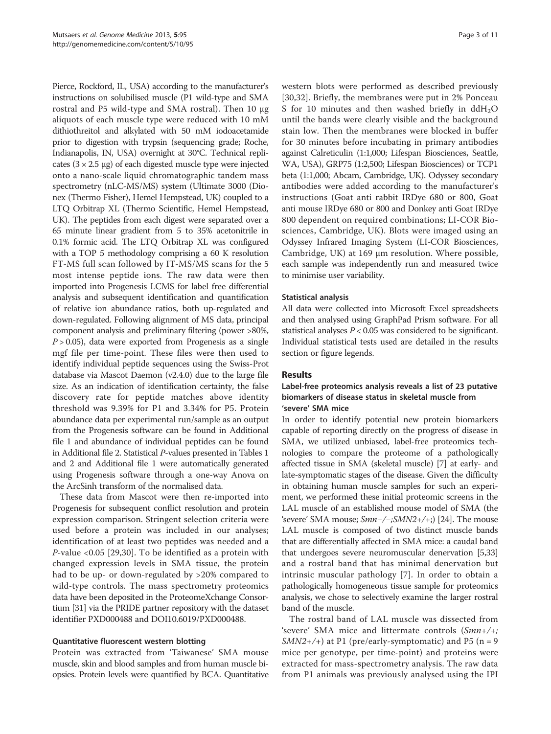Pierce, Rockford, IL, USA) according to the manufacturer's instructions on solubilised muscle (P1 wild-type and SMA rostral and P5 wild-type and SMA rostral). Then 10 μg aliquots of each muscle type were reduced with 10 mM dithiothreitol and alkylated with 50 mM iodoacetamide prior to digestion with trypsin (sequencing grade; Roche, Indianapolis, IN, USA) overnight at 30°C. Technical replicates (3 × 2.5 μg) of each digested muscle type were injected onto a nano-scale liquid chromatographic tandem mass spectrometry (nLC-MS/MS) system (Ultimate 3000 (Dionex (Thermo Fisher), Hemel Hempstead, UK) coupled to a LTQ Orbitrap XL (Thermo Scientific, Hemel Hempstead, UK). The peptides from each digest were separated over a 65 minute linear gradient from 5 to 35% acetonitrile in 0.1% formic acid. The LTQ Orbitrap XL was configured with a TOP 5 methodology comprising a 60 K resolution FT-MS full scan followed by IT-MS/MS scans for the 5 most intense peptide ions. The raw data were then imported into Progenesis LCMS for label free differential analysis and subsequent identification and quantification of relative ion abundance ratios, both up-regulated and down-regulated. Following alignment of MS data, principal component analysis and preliminary filtering (power >80%,  $P > 0.05$ ), data were exported from Progenesis as a single mgf file per time-point. These files were then used to identify individual peptide sequences using the Swiss-Prot database via Mascot Daemon (v2.4.0) due to the large file size. As an indication of identification certainty, the false discovery rate for peptide matches above identity threshold was 9.39% for P1 and 3.34% for P5. Protein abundance data per experimental run/sample as an output from the Progenesis software can be found in Additional file [1](#page-9-0) and abundance of individual peptides can be found in Additional file [2](#page-9-0). Statistical P-values presented in Tables [1](#page-3-0) and [2](#page-3-0) and Additional file [1](#page-9-0) were automatically generated using Progenesis software through a one-way Anova on the ArcSinh transform of the normalised data.

These data from Mascot were then re-imported into Progenesis for subsequent conflict resolution and protein expression comparison. Stringent selection criteria were used before a protein was included in our analyses; identification of at least two peptides was needed and a P-value <0.05 [\[29](#page-10-0),[30\]](#page-10-0). To be identified as a protein with changed expression levels in SMA tissue, the protein had to be up- or down-regulated by >20% compared to wild-type controls. The mass spectrometry proteomics data have been deposited in the ProteomeXchange Consortium [\[31](#page-10-0)] via the PRIDE partner repository with the dataset identifier PXD000488 and DOI10.6019/PXD000488.

## Quantitative fluorescent western blotting

Protein was extracted from 'Taiwanese' SMA mouse muscle, skin and blood samples and from human muscle biopsies. Protein levels were quantified by BCA. Quantitative

western blots were performed as described previously [[30,32](#page-10-0)]. Briefly, the membranes were put in 2% Ponceau S for 10 minutes and then washed briefly in  $ddH<sub>2</sub>O$ until the bands were clearly visible and the background stain low. Then the membranes were blocked in buffer for 30 minutes before incubating in primary antibodies against Calreticulin (1:1,000; Lifespan Biosciences, Seattle, WA, USA), GRP75 (1:2,500; Lifespan Biosciences) or TCP1 beta (1:1,000; Abcam, Cambridge, UK). Odyssey secondary antibodies were added according to the manufacturer's instructions (Goat anti rabbit IRDye 680 or 800, Goat anti mouse IRDye 680 or 800 and Donkey anti Goat IRDye 800 dependent on required combinations; LI-COR Biosciences, Cambridge, UK). Blots were imaged using an Odyssey Infrared Imaging System (LI-COR Biosciences, Cambridge, UK) at 169 μm resolution. Where possible, each sample was independently run and measured twice to minimise user variability.

## Statistical analysis

All data were collected into Microsoft Excel spreadsheets and then analysed using GraphPad Prism software. For all statistical analyses  $P < 0.05$  was considered to be significant. Individual statistical tests used are detailed in the results section or figure legends.

## Results

## Label-free proteomics analysis reveals a list of 23 putative biomarkers of disease status in skeletal muscle from 'severe' SMA mice

In order to identify potential new protein biomarkers capable of reporting directly on the progress of disease in SMA, we utilized unbiased, label-free proteomics technologies to compare the proteome of a pathologically affected tissue in SMA (skeletal muscle) [\[7](#page-9-0)] at early- and late-symptomatic stages of the disease. Given the difficulty in obtaining human muscle samples for such an experiment, we performed these initial proteomic screens in the LAL muscle of an established mouse model of SMA (the 'severe' SMA mouse; Smn−/−;SMN2+/+;) [\[24\]](#page-10-0). The mouse LAL muscle is composed of two distinct muscle bands that are differentially affected in SMA mice: a caudal band that undergoes severe neuromuscular denervation [[5,](#page-9-0)[33](#page-10-0)] and a rostral band that has minimal denervation but intrinsic muscular pathology [[7](#page-9-0)]. In order to obtain a pathologically homogeneous tissue sample for proteomics analysis, we chose to selectively examine the larger rostral band of the muscle.

The rostral band of LAL muscle was dissected from 'severe' SMA mice and littermate controls (Smn+/+;  $SMN2+/-$ ) at P1 (pre/early-symptomatic) and P5 (n = 9 mice per genotype, per time-point) and proteins were extracted for mass-spectrometry analysis. The raw data from P1 animals was previously analysed using the IPI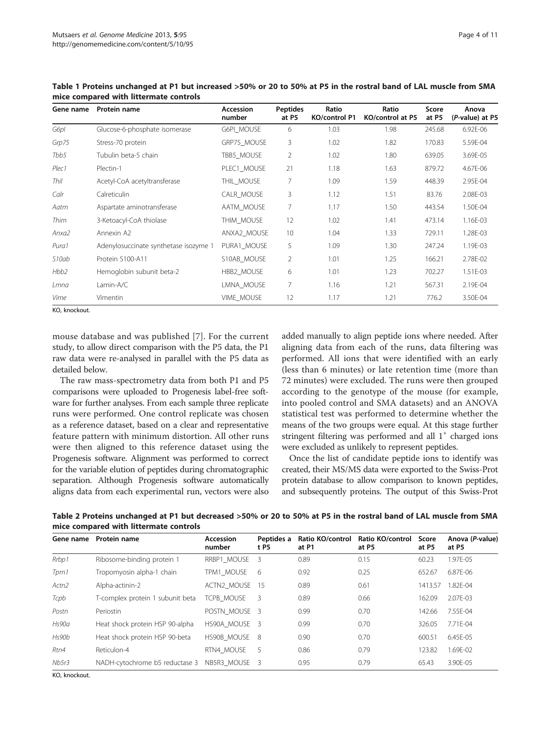| Gene name        | Protein name                          | <b>Accession</b><br>number | <b>Peptides</b><br>at P5 | Ratio<br><b>KO/control P1</b> | Ratio<br>KO/control at P5 | Score<br>at P5 | Anova<br>(P-value) at P5 |
|------------------|---------------------------------------|----------------------------|--------------------------|-------------------------------|---------------------------|----------------|--------------------------|
| G6pl             | Glucose-6-phosphate isomerase         | G6PI MOUSE                 | 6                        | 1.03                          | 1.98                      | 245.68         | 6.92E-06                 |
| Grp75            | Stress-70 protein                     | GRP75 MOUSE                | 3                        | 1.02                          | 1.82                      | 170.83         | 5.59E-04                 |
| Tbb5             | Tubulin beta-5 chain                  | TBB5_MOUSE                 | $\overline{2}$           | 1.02                          | 1.80                      | 639.05         | 3.69E-05                 |
| Plec1            | Plectin-1                             | PLEC1 MOUSE                | 21                       | 1.18                          | 1.63                      | 879.72         | 4.67E-06                 |
| Thil             | Acetyl-CoA acetyltransferase          | THIL_MOUSE                 | 7                        | 1.09                          | 1.59                      | 448.39         | 2.95E-04                 |
| Calr             | Calreticulin                          | CALR MOUSE                 | 3                        | 1.12                          | 1.51                      | 83.76          | 2.08E-03                 |
| Aatm             | Aspartate aminotransferase            | AATM MOUSE                 | $\overline{7}$           | 1.17                          | 1.50                      | 443.54         | 1.50E-04                 |
| Thim             | 3-Ketoacyl-CoA thiolase               | THIM MOUSE                 | 12                       | 1.02                          | 1.41                      | 473.14         | 1.16E-03                 |
| Anxa2            | Annexin A2                            | ANXA2 MOUSE                | 10                       | 1.04                          | 1.33                      | 729.11         | 1.28E-03                 |
| Pura1            | Adenylosuccinate synthetase isozyme 1 | PURA1 MOUSE                | 5                        | 1.09                          | 1.30                      | 247.24         | 1.19E-03                 |
| S10ab            | Protein S100-A11                      | S10AB MOUSE                | 2                        | 1.01                          | 1.25                      | 166.21         | 2.78E-02                 |
| Hbb <sub>2</sub> | Hemoglobin subunit beta-2             | HBB2_MOUSE                 | 6                        | 1.01                          | 1.23                      | 702.27         | 1.51E-03                 |
| Lmna             | Lamin-A/C                             | LMNA MOUSE                 | 7                        | 1.16                          | 1.21                      | 567.31         | 2.19E-04                 |
|                  |                                       |                            |                          |                               |                           |                |                          |

Vime Vimentin 1988 VIME\_MOUSE 12 1.17 1.21 1.21 776.2 3.50E-04

<span id="page-3-0"></span>Table 1 Proteins unchanged at P1 but increased >50% or 20 to 50% at P5 in the rostral band of LAL muscle from SMA mice compared with littermate controls

KO, knockout.

mouse database and was published [[7\]](#page-9-0). For the current study, to allow direct comparison with the P5 data, the P1 raw data were re-analysed in parallel with the P5 data as detailed below.

The raw mass-spectrometry data from both P1 and P5 comparisons were uploaded to Progenesis label-free software for further analyses. From each sample three replicate runs were performed. One control replicate was chosen as a reference dataset, based on a clear and representative feature pattern with minimum distortion. All other runs were then aligned to this reference dataset using the Progenesis software. Alignment was performed to correct for the variable elution of peptides during chromatographic separation. Although Progenesis software automatically aligns data from each experimental run, vectors were also

added manually to align peptide ions where needed. After aligning data from each of the runs, data filtering was performed. All ions that were identified with an early (less than 6 minutes) or late retention time (more than 72 minutes) were excluded. The runs were then grouped according to the genotype of the mouse (for example, into pooled control and SMA datasets) and an ANOVA statistical test was performed to determine whether the means of the two groups were equal. At this stage further stringent filtering was performed and all  $1^+$  charged ions were excluded as unlikely to represent peptides.

Once the list of candidate peptide ions to identify was created, their MS/MS data were exported to the Swiss-Prot protein database to allow comparison to known peptides, and subsequently proteins. The output of this Swiss-Prot

Table 2 Proteins unchanged at P1 but decreased >50% or 20 to 50% at P5 in the rostral band of LAL muscle from SMA mice compared with littermate controls

| Gene name         | Protein name                     | <b>Accession</b><br>number | Peptides a<br>t P5 | Ratio KO/control<br>at P1 | Ratio KO/control<br>at P5 | Score<br>at P5 | Anova (P-value)<br>at P5 |
|-------------------|----------------------------------|----------------------------|--------------------|---------------------------|---------------------------|----------------|--------------------------|
| Rrbp1             | Ribosome-binding protein 1       | RRBP1 MOUSE                | - 3                | 0.89                      | 0.15                      | 60.23          | 1.97E-05                 |
| Tpm1              | Tropomyosin alpha-1 chain        | TPM1 MOUSE                 | - 6                | 0.92                      | 0.25                      | 652.67         | 6.87F-06                 |
| Actn <sub>2</sub> | Alpha-actinin-2                  | ACTN2 MOUSE                | 15                 | 0.89                      | 0.61                      | 1413.57        | 1.82F-04                 |
| Tcpb              | T-complex protein 1 subunit beta | TCPB MOUSE                 | -3                 | 0.89                      | 0.66                      | 162.09         | 2.07F-03                 |
| Postn             | Periostin                        | POSTN MOUSE 3              |                    | 0.99                      | 0.70                      | 142.66         | 7.55F-04                 |
| Hs90a             | Heat shock protein HSP 90-alpha  | HS90A MOUSE 3              |                    | 0.99                      | 0.70                      | 326.05         | 7.71F-04                 |
| Hs90b             | Heat shock protein HSP 90-beta   | HS90B_MOUSE 8              |                    | 0.90                      | 0.70                      | 600.51         | 6.45E-05                 |
| Rtn4              | Reticulon-4                      | RTN4 MOUSE                 | - 5                | 0.86                      | 0.79                      | 123.82         | 1.69F-02                 |
| Nb5r3             | NADH-cytochrome b5 reductase 3   | NB5R3 MOUSE 3              |                    | 0.95                      | 0.79                      | 65.43          | 3.90E-05                 |

KO, knockout.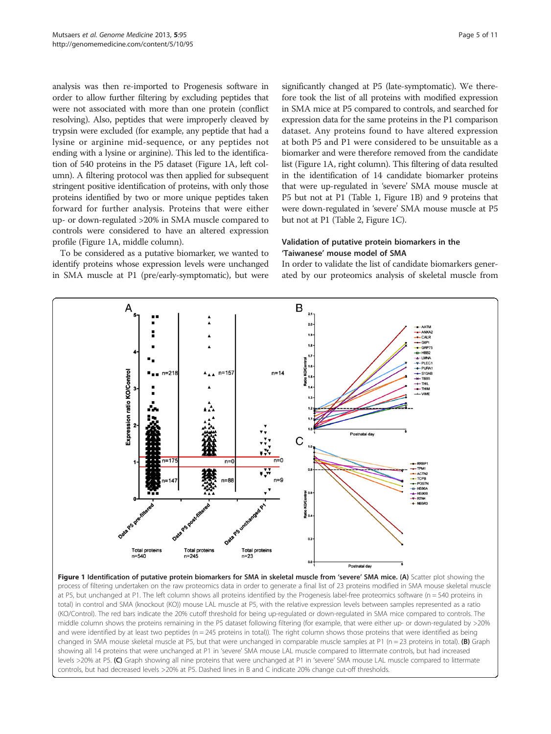analysis was then re-imported to Progenesis software in order to allow further filtering by excluding peptides that were not associated with more than one protein (conflict resolving). Also, peptides that were improperly cleaved by trypsin were excluded (for example, any peptide that had a lysine or arginine mid-sequence, or any peptides not ending with a lysine or arginine). This led to the identification of 540 proteins in the P5 dataset (Figure 1A, left column). A filtering protocol was then applied for subsequent stringent positive identification of proteins, with only those proteins identified by two or more unique peptides taken forward for further analysis. Proteins that were either up- or down-regulated >20% in SMA muscle compared to controls were considered to have an altered expression profile (Figure 1A, middle column).

To be considered as a putative biomarker, we wanted to identify proteins whose expression levels were unchanged in SMA muscle at P1 (pre/early-symptomatic), but were

significantly changed at P5 (late-symptomatic). We therefore took the list of all proteins with modified expression in SMA mice at P5 compared to controls, and searched for expression data for the same proteins in the P1 comparison dataset. Any proteins found to have altered expression at both P5 and P1 were considered to be unsuitable as a biomarker and were therefore removed from the candidate list (Figure 1A, right column). This filtering of data resulted in the identification of 14 candidate biomarker proteins that were up-regulated in 'severe' SMA mouse muscle at P5 but not at P1 (Table [1](#page-3-0), Figure 1B) and 9 proteins that were down-regulated in 'severe' SMA mouse muscle at P5 but not at P1 (Table [2,](#page-3-0) Figure 1C).

## Validation of putative protein biomarkers in the 'Taiwanese' mouse model of SMA

In order to validate the list of candidate biomarkers generated by our proteomics analysis of skeletal muscle from

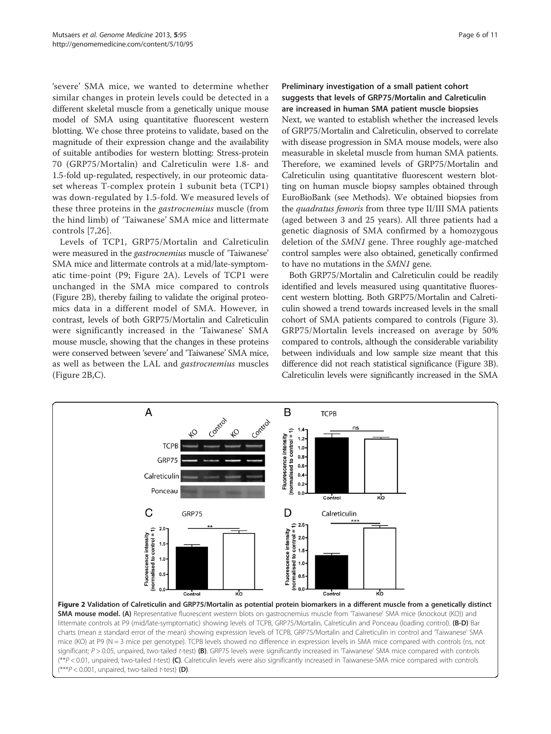'severe' SMA mice, we wanted to determine whether similar changes in protein levels could be detected in a different skeletal muscle from a genetically unique mouse model of SMA using quantitative fluorescent western blotting. We chose three proteins to validate, based on the magnitude of their expression change and the availability of suitable antibodies for western blotting: Stress-protein 70 (GRP75/Mortalin) and Calreticulin were 1.8- and 1.5-fold up-regulated, respectively, in our proteomic dataset whereas T-complex protein 1 subunit beta (TCP1) was down-regulated by 1.5-fold. We measured levels of these three proteins in the gastrocnemius muscle (from the hind limb) of 'Taiwanese' SMA mice and littermate controls [\[7,](#page-9-0)[26](#page-10-0)].

Levels of TCP1, GRP75/Mortalin and Calreticulin were measured in the gastrocnemius muscle of 'Taiwanese' SMA mice and littermate controls at a mid/late-symptomatic time-point (P9; Figure 2A). Levels of TCP1 were unchanged in the SMA mice compared to controls (Figure 2B), thereby failing to validate the original proteomics data in a different model of SMA. However, in contrast, levels of both GRP75/Mortalin and Calreticulin were significantly increased in the 'Taiwanese' SMA mouse muscle, showing that the changes in these proteins were conserved between 'severe' and 'Taiwanese' SMA mice, as well as between the LAL and gastrocnemius muscles (Figure 2B,C).

Preliminary investigation of a small patient cohort suggests that levels of GRP75/Mortalin and Calreticulin are increased in human SMA patient muscle biopsies Next, we wanted to establish whether the increased levels of GRP75/Mortalin and Calreticulin, observed to correlate with disease progression in SMA mouse models, were also measurable in skeletal muscle from human SMA patients. Therefore, we examined levels of GRP75/Mortalin and Calreticulin using quantitative fluorescent western blotting on human muscle biopsy samples obtained through EuroBioBank (see [Methods\)](#page-1-0). We obtained biopsies from the *quadratus femoris* from three type II/III SMA patients (aged between 3 and 25 years). All three patients had a genetic diagnosis of SMA confirmed by a homozygous deletion of the SMN1 gene. Three roughly age-matched control samples were also obtained, genetically confirmed to have no mutations in the SMN1 gene.

Both GRP75/Mortalin and Calreticulin could be readily identified and levels measured using quantitative fluorescent western blotting. Both GRP75/Mortalin and Calreticulin showed a trend towards increased levels in the small cohort of SMA patients compared to controls (Figure [3](#page-6-0)). GRP75/Mortalin levels increased on average by 50% compared to controls, although the considerable variability between individuals and low sample size meant that this difference did not reach statistical significance (Figure [3B](#page-6-0)). Calreticulin levels were significantly increased in the SMA

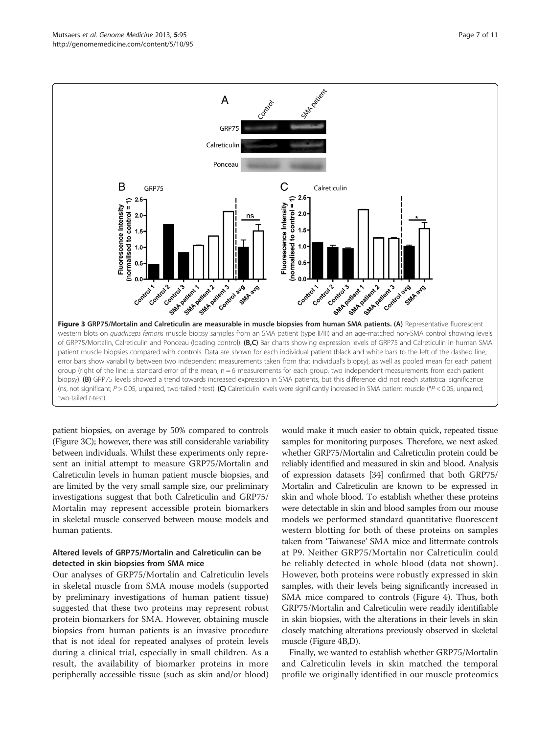<span id="page-6-0"></span>

patient biopsies, on average by 50% compared to controls (Figure 3C); however, there was still considerable variability between individuals. Whilst these experiments only represent an initial attempt to measure GRP75/Mortalin and Calreticulin levels in human patient muscle biopsies, and are limited by the very small sample size, our preliminary investigations suggest that both Calreticulin and GRP75/ Mortalin may represent accessible protein biomarkers in skeletal muscle conserved between mouse models and human patients.

## Altered levels of GRP75/Mortalin and Calreticulin can be detected in skin biopsies from SMA mice

Our analyses of GRP75/Mortalin and Calreticulin levels in skeletal muscle from SMA mouse models (supported by preliminary investigations of human patient tissue) suggested that these two proteins may represent robust protein biomarkers for SMA. However, obtaining muscle biopsies from human patients is an invasive procedure that is not ideal for repeated analyses of protein levels during a clinical trial, especially in small children. As a result, the availability of biomarker proteins in more peripherally accessible tissue (such as skin and/or blood)

would make it much easier to obtain quick, repeated tissue samples for monitoring purposes. Therefore, we next asked whether GRP75/Mortalin and Calreticulin protein could be reliably identified and measured in skin and blood. Analysis of expression datasets [\[34\]](#page-10-0) confirmed that both GRP75/ Mortalin and Calreticulin are known to be expressed in skin and whole blood. To establish whether these proteins were detectable in skin and blood samples from our mouse models we performed standard quantitative fluorescent western blotting for both of these proteins on samples taken from 'Taiwanese' SMA mice and littermate controls at P9. Neither GRP75/Mortalin nor Calreticulin could be reliably detected in whole blood (data not shown). However, both proteins were robustly expressed in skin samples, with their levels being significantly increased in SMA mice compared to controls (Figure [4\)](#page-7-0). Thus, both GRP75/Mortalin and Calreticulin were readily identifiable in skin biopsies, with the alterations in their levels in skin closely matching alterations previously observed in skeletal muscle (Figure [4B](#page-7-0),D).

Finally, we wanted to establish whether GRP75/Mortalin and Calreticulin levels in skin matched the temporal profile we originally identified in our muscle proteomics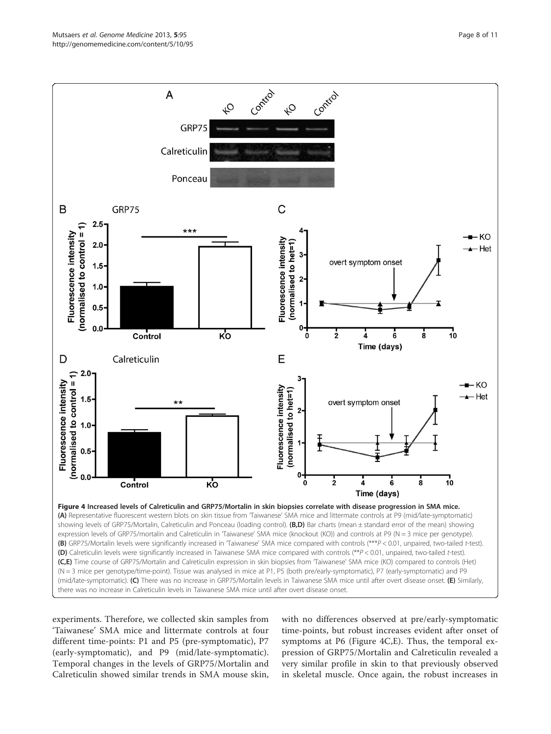<span id="page-7-0"></span>

experiments. Therefore, we collected skin samples from 'Taiwanese' SMA mice and littermate controls at four different time-points: P1 and P5 (pre-symptomatic), P7 (early-symptomatic), and P9 (mid/late-symptomatic). Temporal changes in the levels of GRP75/Mortalin and Calreticulin showed similar trends in SMA mouse skin,

with no differences observed at pre/early-symptomatic time-points, but robust increases evident after onset of symptoms at P6 (Figure 4C,E). Thus, the temporal expression of GRP75/Mortalin and Calreticulin revealed a very similar profile in skin to that previously observed in skeletal muscle. Once again, the robust increases in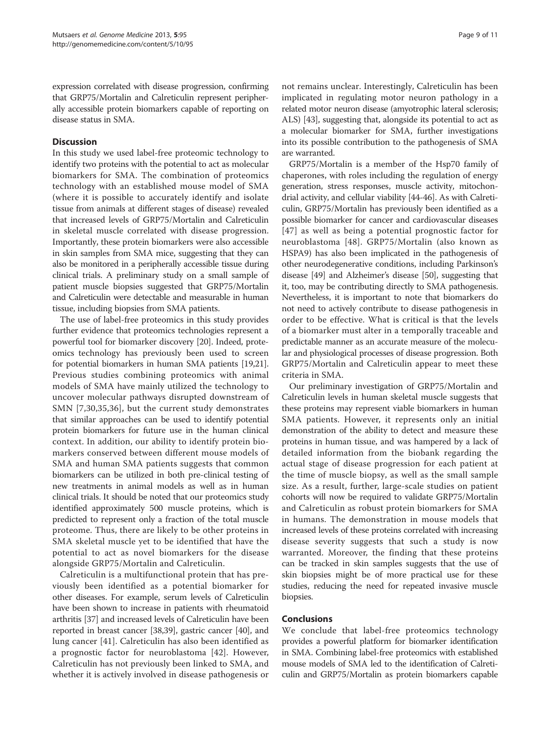expression correlated with disease progression, confirming that GRP75/Mortalin and Calreticulin represent peripherally accessible protein biomarkers capable of reporting on disease status in SMA.

## **Discussion**

In this study we used label-free proteomic technology to identify two proteins with the potential to act as molecular biomarkers for SMA. The combination of proteomics technology with an established mouse model of SMA (where it is possible to accurately identify and isolate tissue from animals at different stages of disease) revealed that increased levels of GRP75/Mortalin and Calreticulin in skeletal muscle correlated with disease progression. Importantly, these protein biomarkers were also accessible in skin samples from SMA mice, suggesting that they can also be monitored in a peripherally accessible tissue during clinical trials. A preliminary study on a small sample of patient muscle biopsies suggested that GRP75/Mortalin and Calreticulin were detectable and measurable in human tissue, including biopsies from SMA patients.

The use of label-free proteomics in this study provides further evidence that proteomics technologies represent a powerful tool for biomarker discovery [[20](#page-9-0)]. Indeed, proteomics technology has previously been used to screen for potential biomarkers in human SMA patients [\[19,21](#page-9-0)]. Previous studies combining proteomics with animal models of SMA have mainly utilized the technology to uncover molecular pathways disrupted downstream of SMN [[7,](#page-9-0)[30](#page-10-0),[35,36](#page-10-0)], but the current study demonstrates that similar approaches can be used to identify potential protein biomarkers for future use in the human clinical context. In addition, our ability to identify protein biomarkers conserved between different mouse models of SMA and human SMA patients suggests that common biomarkers can be utilized in both pre-clinical testing of new treatments in animal models as well as in human clinical trials. It should be noted that our proteomics study identified approximately 500 muscle proteins, which is predicted to represent only a fraction of the total muscle proteome. Thus, there are likely to be other proteins in SMA skeletal muscle yet to be identified that have the potential to act as novel biomarkers for the disease alongside GRP75/Mortalin and Calreticulin.

Calreticulin is a multifunctional protein that has previously been identified as a potential biomarker for other diseases. For example, serum levels of Calreticulin have been shown to increase in patients with rheumatoid arthritis [[37\]](#page-10-0) and increased levels of Calreticulin have been reported in breast cancer [\[38,39\]](#page-10-0), gastric cancer [[40](#page-10-0)], and lung cancer [\[41](#page-10-0)]. Calreticulin has also been identified as a prognostic factor for neuroblastoma [\[42](#page-10-0)]. However, Calreticulin has not previously been linked to SMA, and whether it is actively involved in disease pathogenesis or

not remains unclear. Interestingly, Calreticulin has been implicated in regulating motor neuron pathology in a related motor neuron disease (amyotrophic lateral sclerosis; ALS) [\[43\]](#page-10-0), suggesting that, alongside its potential to act as a molecular biomarker for SMA, further investigations into its possible contribution to the pathogenesis of SMA are warranted.

GRP75/Mortalin is a member of the Hsp70 family of chaperones, with roles including the regulation of energy generation, stress responses, muscle activity, mitochondrial activity, and cellular viability [\[44-46](#page-10-0)]. As with Calreticulin, GRP75/Mortalin has previously been identified as a possible biomarker for cancer and cardiovascular diseases [[47](#page-10-0)] as well as being a potential prognostic factor for neuroblastoma [[48](#page-10-0)]. GRP75/Mortalin (also known as HSPA9) has also been implicated in the pathogenesis of other neurodegenerative conditions, including Parkinson's disease [\[49](#page-10-0)] and Alzheimer's disease [\[50\]](#page-10-0), suggesting that it, too, may be contributing directly to SMA pathogenesis. Nevertheless, it is important to note that biomarkers do not need to actively contribute to disease pathogenesis in order to be effective. What is critical is that the levels of a biomarker must alter in a temporally traceable and predictable manner as an accurate measure of the molecular and physiological processes of disease progression. Both GRP75/Mortalin and Calreticulin appear to meet these criteria in SMA.

Our preliminary investigation of GRP75/Mortalin and Calreticulin levels in human skeletal muscle suggests that these proteins may represent viable biomarkers in human SMA patients. However, it represents only an initial demonstration of the ability to detect and measure these proteins in human tissue, and was hampered by a lack of detailed information from the biobank regarding the actual stage of disease progression for each patient at the time of muscle biopsy, as well as the small sample size. As a result, further, large-scale studies on patient cohorts will now be required to validate GRP75/Mortalin and Calreticulin as robust protein biomarkers for SMA in humans. The demonstration in mouse models that increased levels of these proteins correlated with increasing disease severity suggests that such a study is now warranted. Moreover, the finding that these proteins can be tracked in skin samples suggests that the use of skin biopsies might be of more practical use for these studies, reducing the need for repeated invasive muscle biopsies.

## Conclusions

We conclude that label-free proteomics technology provides a powerful platform for biomarker identification in SMA. Combining label-free proteomics with established mouse models of SMA led to the identification of Calreticulin and GRP75/Mortalin as protein biomarkers capable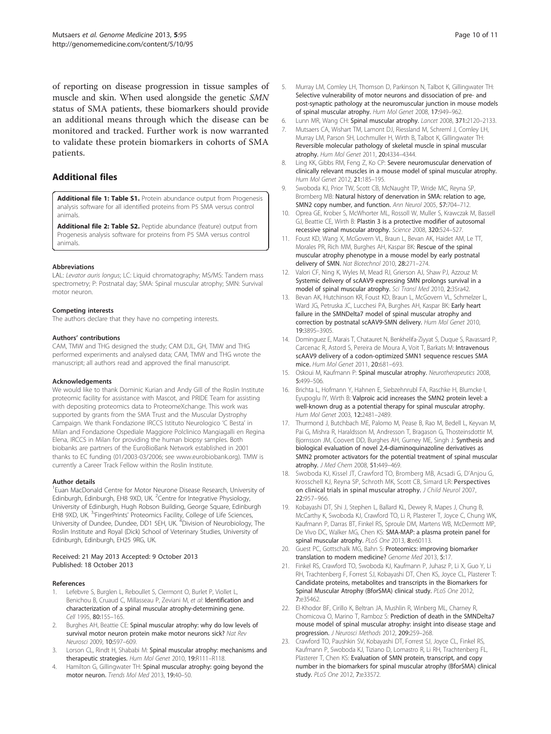<span id="page-9-0"></span>of reporting on disease progression in tissue samples of muscle and skin. When used alongside the genetic SMN status of SMA patients, these biomarkers should provide an additional means through which the disease can be monitored and tracked. Further work is now warranted to validate these protein biomarkers in cohorts of SMA patients.

## Additional files

[Additional file 1: Table S1.](http://www.biomedcentral.com/content/supplementary/gm498-S1.xls) Protein abundance output from Progenesis analysis software for all identified proteins from P5 SMA versus control animals.

[Additional file 2: Table S2.](http://www.biomedcentral.com/content/supplementary/gm498-S2.pdf) Peptide abundance (feature) output from Progenesis analysis software for proteins from P5 SMA versus control animals.

#### Abbreviations

LAL: Levator auris longus; LC: Liquid chromatography; MS/MS: Tandem mass spectrometry; P: Postnatal day; SMA: Spinal muscular atrophy; SMN: Survival motor neuron.

#### Competing interests

The authors declare that they have no competing interests.

#### Authors' contributions

CAM, TMW and THG designed the study; CAM DJL, GH, TMW and THG performed experiments and analysed data; CAM, TMW and THG wrote the manuscript; all authors read and approved the final manuscript.

#### Acknowledgements

We would like to thank Dominic Kurian and Andy Gill of the Roslin Institute proteomic facility for assistance with Mascot, and PRIDE Team for assisting with depositing proteomics data to ProteomeXchange. This work was supported by grants from the SMA Trust and the Muscular Dystrophy Campaign. We thank Fondazione IRCCS Istituto Neurologico 'C Besta' in Milan and Fondazione Ospediale Maggiore Polclinico Mangiagalli en Regina Elena, IRCCS in Milan for providing the human biopsy samples. Both biobanks are partners of the EuroBioBank Network established in 2001 thanks to EC funding (01/2003-03/2006; see [www.eurobiobank.org\)](http://www.eurobiobank.org). TMW is currently a Career Track Fellow within the Roslin Institute.

#### Author details

<sup>1</sup> Euan MacDonald Centre for Motor Neurone Disease Research, University of Edinburgh, Edinburgh, EH8 9XD, UK. <sup>2</sup>Centre for Integrative Physiology, University of Edinburgh, Hugh Robson Building, George Square, Edinburgh EH8 9XD, UK. <sup>3</sup>'FingerPrints' Proteomics Facility, College of Life Sciences, University of Dundee, Dundee, DD1 5EH, UK. <sup>4</sup>Division of Neurobiology, The Roslin Institute and Royal (Dick) School of Veterinary Studies, University of Edinburgh, Edinburgh, EH25 9RG, UK.

#### Received: 21 May 2013 Accepted: 9 October 2013 Published: 18 October 2013

#### References

- 1. Lefebvre S, Burglen L, Reboullet S, Clermont O, Burlet P, Viollet L, Benichou B, Cruaud C, Millasseau P, Zeviani M, et al: Identification and characterization of a spinal muscular atrophy-determining gene. Cell 1995, 80:155–165.
- 2. Burghes AH, Beattie CE: Spinal muscular atrophy: why do low levels of survival motor neuron protein make motor neurons sick? Nat Rev Neurosci 2009, 10:597–609.
- Lorson CL, Rindt H, Shababi M: Spinal muscular atrophy: mechanisms and therapeutic strategies. Hum Mol Genet 2010, 19:R111–R118.
- 4. Hamilton G, Gillingwater TH: Spinal muscular atrophy: going beyond the motor neuron. Trends Mol Med 2013, 19:40–50.
- Murray LM, Comley LH, Thomson D, Parkinson N, Talbot K, Gillingwater TH: Selective vulnerability of motor neurons and dissociation of pre- and post-synaptic pathology at the neuromuscular junction in mouse models of spinal muscular atrophy. Hum Mol Genet 2008, 17:949–962.
- 6. Lunn MR, Wang CH: Spinal muscular atrophy. Lancet 2008, 371:2120–2133.
- 7. Mutsaers CA, Wishart TM, Lamont DJ, Riessland M, Schreml J, Comley LH, Murray LM, Parson SH, Lochmuller H, Wirth B, Talbot K, Gillingwater TH: Reversible molecular pathology of skeletal muscle in spinal muscular atrophy. Hum Mol Genet 2011, 20:4334–4344.
- 8. Ling KK, Gibbs RM, Feng Z, Ko CP: Severe neuromuscular denervation of clinically relevant muscles in a mouse model of spinal muscular atrophy. Hum Mol Genet 2012, 21:185–195.
- 9. Swoboda KJ, Prior TW, Scott CB, McNaught TP, Wride MC, Reyna SP, Bromberg MB: Natural history of denervation in SMA: relation to age, SMN2 copy number, and function. Ann Neurol 2005, 57:704–712.
- 10. Oprea GE, Krober S, McWhorter ML, Rossoll W, Muller S, Krawczak M, Bassell GJ, Beattie CE, Wirth B: Plastin 3 is a protective modifier of autosomal recessive spinal muscular atrophy. Science 2008, 320:524–527.
- 11. Foust KD, Wang X, McGovern VL, Braun L, Bevan AK, Haidet AM, Le TT, Morales PR, Rich MM, Burghes AH, Kaspar BK: Rescue of the spinal muscular atrophy phenotype in a mouse model by early postnatal delivery of SMN. Nat Biotechnol 2010, 28:271–274.
- 12. Valori CF, Ning K, Wyles M, Mead RJ, Grierson AJ, Shaw PJ, Azzouz M: Systemic delivery of scAAV9 expressing SMN prolongs survival in a model of spinal muscular atrophy. Sci Transl Med 2010, 2:35ra42.
- 13. Bevan AK, Hutchinson KR, Foust KD, Braun L, McGovern VL, Schmelzer L, Ward JG, Petruska JC, Lucchesi PA, Burghes AH, Kaspar BK: Early heart failure in the SMNDelta7 model of spinal muscular atrophy and correction by postnatal scAAV9-SMN delivery. Hum Mol Genet 2010, 19:3895–3905.
- 14. Dominguez E, Marais T, Chatauret N, Benkhelifa-Ziyyat S, Duque S, Ravassard P, Carcenac R, Astord S, Pereira de Moura A, Voit T, Barkats M: Intravenous scAAV9 delivery of a codon-optimized SMN1 sequence rescues SMA mice. Hum Mol Genet 2011, 20:681–693.
- 15. Oskoui M, Kaufmann P: Spinal muscular atrophy. Neurotherapeutics 2008, 5:499–506.
- 16. Brichta L, Hofmann Y, Hahnen E, Siebzehnrubl FA, Raschke H, Blumcke I, Eyupoglu IY, Wirth B: Valproic acid increases the SMN2 protein level: a well-known drug as a potential therapy for spinal muscular atrophy. Hum Mol Genet 2003, 12:2481–2489.
- 17. Thurmond J, Butchbach ME, Palomo M, Pease B, Rao M, Bedell L, Keyvan M, Pai G, Mishra R, Haraldsson M, Andresson T, Bragason G, Thosteinsdottir M, Bjornsson JM, Coovert DD, Burghes AH, Gurney ME, Singh J: Synthesis and biological evaluation of novel 2,4-diaminoquinazoline derivatives as SMN2 promoter activators for the potential treatment of spinal muscular atrophy. J Med Chem 2008, 51:449–469.
- 18. Swoboda KJ, Kissel JT, Crawford TO, Bromberg MB, Acsadi G, D'Anjou G, Krosschell KJ, Reyna SP, Schroth MK, Scott CB, Simard LR: Perspectives on clinical trials in spinal muscular atrophy. J Child Neurol 2007, 22:957–966.
- 19. Kobayashi DT, Shi J, Stephen L, Ballard KL, Dewey R, Mapes J, Chung B, McCarthy K, Swoboda KJ, Crawford TO, Li R, Plasterer T, Joyce C, Chung WK, Kaufmann P, Darras BT, Finkel RS, Sproule DM, Martens WB, McDermott MP, De Vivo DC, Walker MG, Chen KS: SMA-MAP: a plasma protein panel for spinal muscular atrophy. PLoS One 2013, 8:e60113.
- 20. Guest PC, Gottschalk MG, Bahn S: Proteomics: improving biomarker translation to modern medicine? Genome Med 2013, 5:17
- 21. Finkel RS, Crawford TO, Swoboda KJ, Kaufmann P, Juhasz P, Li X, Guo Y, Li RH, Trachtenberg F, Forrest SJ, Kobayashi DT, Chen KS, Joyce CL, Plasterer T: Candidate proteins, metabolites and transcripts in the Biomarkers for Spinal Muscular Atrophy (BforSMA) clinical study. PLoS One 2012, 7:e35462.
- 22. El-Khodor BF, Cirillo K, Beltran JA, Mushlin R, Winberg ML, Charney R, Chomicova O, Marino T, Ramboz S: Prediction of death in the SMNDelta7 mouse model of spinal muscular atrophy: insight into disease stage and progression. J Neurosci Methods 2012, 209:259–268.
- 23. Crawford TO, Paushkin SV, Kobayashi DT, Forrest SJ, Joyce CL, Finkel RS, Kaufmann P, Swoboda KJ, Tiziano D, Lomastro R, Li RH, Trachtenberg FL, Plasterer T, Chen KS: Evaluation of SMN protein, transcript, and copy number in the biomarkers for spinal muscular atrophy (BforSMA) clinical study. PLoS One 2012, 7:e33572.